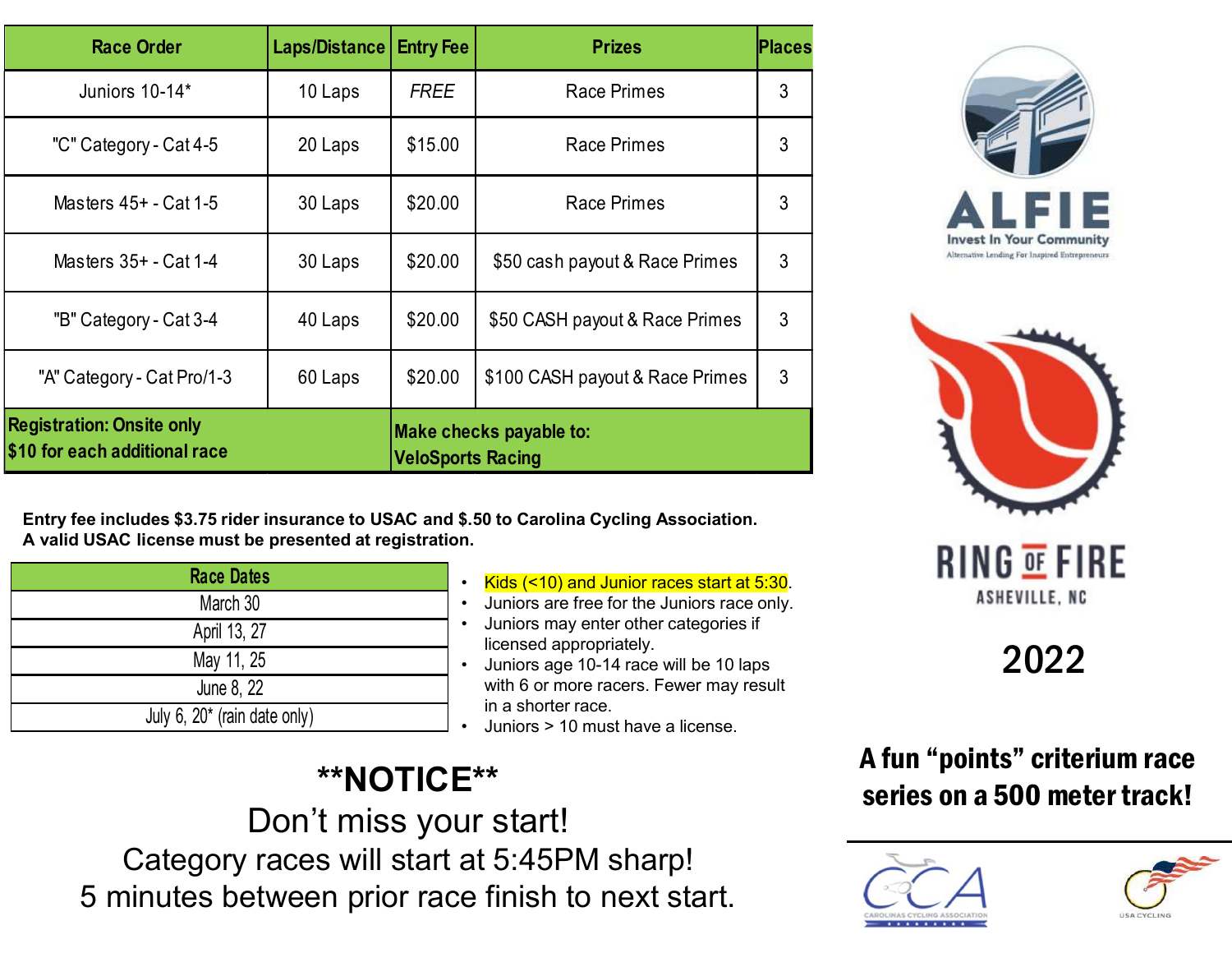| <b>Race Order</b>                                                 | Laps/Distance          | <b>Entry Fee</b>         | <b>Prizes</b>                                                                                                                                                                                         | Places |
|-------------------------------------------------------------------|------------------------|--------------------------|-------------------------------------------------------------------------------------------------------------------------------------------------------------------------------------------------------|--------|
| Juniors 10-14*                                                    | 10 Laps                | <b>FREE</b>              | <b>Race Primes</b>                                                                                                                                                                                    | 3      |
| "C" Category - Cat 4-5                                            | 20 Laps                | \$15.00                  | <b>Race Primes</b>                                                                                                                                                                                    | 3      |
| Masters 45+ - Cat 1-5                                             | 30 Laps                | \$20.00                  | <b>Race Primes</b>                                                                                                                                                                                    | 3      |
| Masters 35+ - Cat 1-4                                             | 30 Laps                | \$20.00                  | \$50 cash payout & Race Primes                                                                                                                                                                        | 3      |
| "B" Category - Cat 3-4                                            | 40 Laps                | \$20.00                  | \$50 CASH payout & Race Primes                                                                                                                                                                        | 3      |
| "A" Category - Cat Pro/1-3                                        | 60 Laps                | \$20.00                  | \$100 CASH payout & Race Primes                                                                                                                                                                       | 3      |
| <b>Registration: Onsite only</b><br>\$10 for each additional race |                        | <b>VeloSports Racing</b> | Make checks payable to:                                                                                                                                                                               |        |
| A valid USAC license must be presented at registration.           |                        |                          | Entry fee includes \$3.75 rider insurance to USAC and \$.50 to Carolina Cycling Association.                                                                                                          |        |
| <b>Race Dates</b><br>March 30                                     |                        |                          | • Kids (<10) and Junior races start at 5:30.<br>Juniors are free for the Juniors race only.<br>$\bullet$                                                                                              |        |
| April 13, 27                                                      |                        |                          | Juniors may enter other categories if<br>$\bullet$<br>licensed appropriately.<br>Juniors age 10-14 race will be 10 laps<br>$\bullet$<br>with 6 or more racers. Fewer may result<br>in a shorter race. |        |
| May 11, 25<br>June 8, 22                                          |                        |                          |                                                                                                                                                                                                       |        |
| July 6, $20*$ (rain date only)                                    |                        |                          | Juniors > 10 must have a license.                                                                                                                                                                     |        |
|                                                                   | Don't miss your startl | <b>**NOTICE**</b>        |                                                                                                                                                                                                       |        |

| <b>Race Dates</b>               |           | Kids (<                    |
|---------------------------------|-----------|----------------------------|
| March 30                        |           | Juniors                    |
| April 13, 27                    | $\bullet$ | <b>Juniors</b><br>licensed |
| May 11, 25                      | $\bullet$ | <b>Juniors</b>             |
| June 8, 22                      |           | with 6 o                   |
| July 6, $20^*$ (rain date only) |           | in a sho<br><b>Juniors</b> |

- Kids (<10) and Junior races start at 5:30.
- Juniors are free for the Juniors race only.<br>• Juniors may enter other categories if
- licensed appropriately.
- with 6 or more racers. Fewer may result in a shorter race. • Juniors age 10-14 race will be 10 laps
- 

# \*\*NOTICE\*\*

Don't miss your start! Category races will start at 5:45PM sharp! 5 minutes between prior race finish to next start.





# A fun "points" criterium race